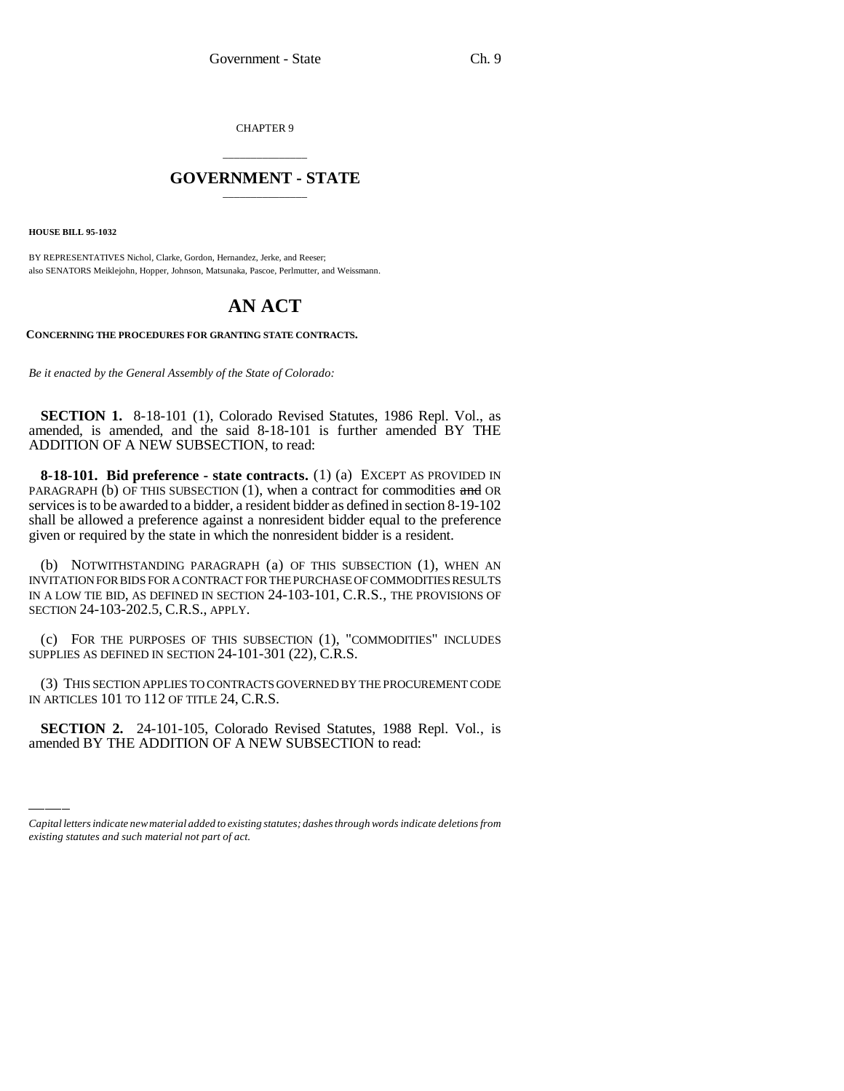CHAPTER 9

## \_\_\_\_\_\_\_\_\_\_\_\_\_\_\_ **GOVERNMENT - STATE** \_\_\_\_\_\_\_\_\_\_\_\_\_\_\_

**HOUSE BILL 95-1032**

BY REPRESENTATIVES Nichol, Clarke, Gordon, Hernandez, Jerke, and Reeser; also SENATORS Meiklejohn, Hopper, Johnson, Matsunaka, Pascoe, Perlmutter, and Weissmann.

## **AN ACT**

**CONCERNING THE PROCEDURES FOR GRANTING STATE CONTRACTS.**

*Be it enacted by the General Assembly of the State of Colorado:*

**SECTION 1.** 8-18-101 (1), Colorado Revised Statutes, 1986 Repl. Vol., as amended, is amended, and the said 8-18-101 is further amended BY THE ADDITION OF A NEW SUBSECTION, to read:

**8-18-101. Bid preference - state contracts.** (1) (a) EXCEPT AS PROVIDED IN PARAGRAPH (b) OF THIS SUBSECTION  $(1)$ , when a contract for commodities and OR services is to be awarded to a bidder, a resident bidder as defined in section 8-19-102 shall be allowed a preference against a nonresident bidder equal to the preference given or required by the state in which the nonresident bidder is a resident.

(b) NOTWITHSTANDING PARAGRAPH (a) OF THIS SUBSECTION (1), WHEN AN INVITATION FOR BIDS FOR A CONTRACT FOR THE PURCHASE OF COMMODITIES RESULTS IN A LOW TIE BID, AS DEFINED IN SECTION 24-103-101, C.R.S., THE PROVISIONS OF SECTION 24-103-202.5, C.R.S., APPLY.

(c) FOR THE PURPOSES OF THIS SUBSECTION (1), "COMMODITIES" INCLUDES SUPPLIES AS DEFINED IN SECTION 24-101-301 (22), C.R.S.

IN ARTICLES 101 TO 112 OF TITLE 24, C.R.S. (3) THIS SECTION APPLIES TO CONTRACTS GOVERNED BY THE PROCUREMENT CODE

**SECTION 2.** 24-101-105, Colorado Revised Statutes, 1988 Repl. Vol., is amended BY THE ADDITION OF A NEW SUBSECTION to read:

*Capital letters indicate new material added to existing statutes; dashes through words indicate deletions from existing statutes and such material not part of act.*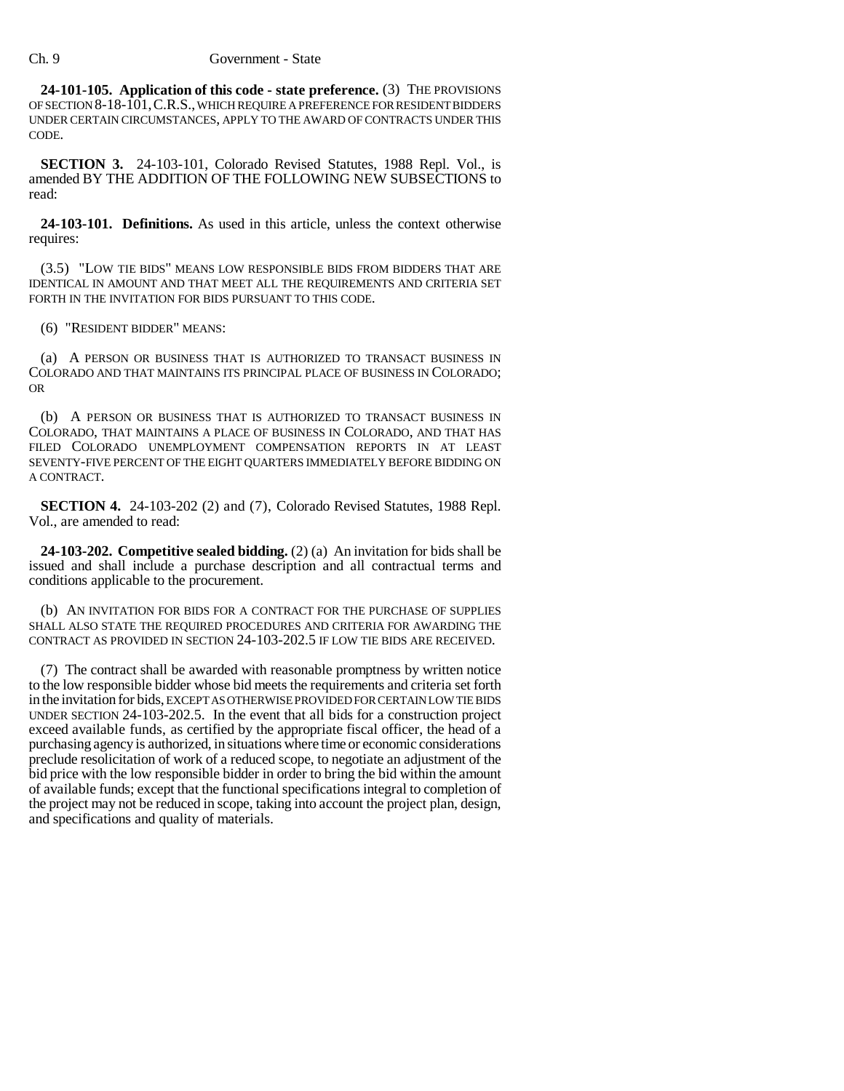**24-101-105. Application of this code - state preference.** (3) THE PROVISIONS OF SECTION 8-18-101,C.R.S., WHICH REQUIRE A PREFERENCE FOR RESIDENT BIDDERS UNDER CERTAIN CIRCUMSTANCES, APPLY TO THE AWARD OF CONTRACTS UNDER THIS CODE.

**SECTION 3.** 24-103-101, Colorado Revised Statutes, 1988 Repl. Vol., is amended BY THE ADDITION OF THE FOLLOWING NEW SUBSECTIONS to read:

**24-103-101. Definitions.** As used in this article, unless the context otherwise requires:

(3.5) "LOW TIE BIDS" MEANS LOW RESPONSIBLE BIDS FROM BIDDERS THAT ARE IDENTICAL IN AMOUNT AND THAT MEET ALL THE REQUIREMENTS AND CRITERIA SET FORTH IN THE INVITATION FOR BIDS PURSUANT TO THIS CODE.

(6) "RESIDENT BIDDER" MEANS:

(a) A PERSON OR BUSINESS THAT IS AUTHORIZED TO TRANSACT BUSINESS IN COLORADO AND THAT MAINTAINS ITS PRINCIPAL PLACE OF BUSINESS IN COLORADO; OR

(b) A PERSON OR BUSINESS THAT IS AUTHORIZED TO TRANSACT BUSINESS IN COLORADO, THAT MAINTAINS A PLACE OF BUSINESS IN COLORADO, AND THAT HAS FILED COLORADO UNEMPLOYMENT COMPENSATION REPORTS IN AT LEAST SEVENTY-FIVE PERCENT OF THE EIGHT QUARTERS IMMEDIATELY BEFORE BIDDING ON A CONTRACT.

**SECTION 4.** 24-103-202 (2) and (7), Colorado Revised Statutes, 1988 Repl. Vol., are amended to read:

**24-103-202. Competitive sealed bidding.** (2) (a) An invitation for bids shall be issued and shall include a purchase description and all contractual terms and conditions applicable to the procurement.

(b) AN INVITATION FOR BIDS FOR A CONTRACT FOR THE PURCHASE OF SUPPLIES SHALL ALSO STATE THE REQUIRED PROCEDURES AND CRITERIA FOR AWARDING THE CONTRACT AS PROVIDED IN SECTION 24-103-202.5 IF LOW TIE BIDS ARE RECEIVED.

(7) The contract shall be awarded with reasonable promptness by written notice to the low responsible bidder whose bid meets the requirements and criteria set forth in the invitation for bids, EXCEPT AS OTHERWISE PROVIDED FOR CERTAIN LOW TIE BIDS UNDER SECTION 24-103-202.5. In the event that all bids for a construction project exceed available funds, as certified by the appropriate fiscal officer, the head of a purchasing agency is authorized, in situations where time or economic considerations preclude resolicitation of work of a reduced scope, to negotiate an adjustment of the bid price with the low responsible bidder in order to bring the bid within the amount of available funds; except that the functional specifications integral to completion of the project may not be reduced in scope, taking into account the project plan, design, and specifications and quality of materials.